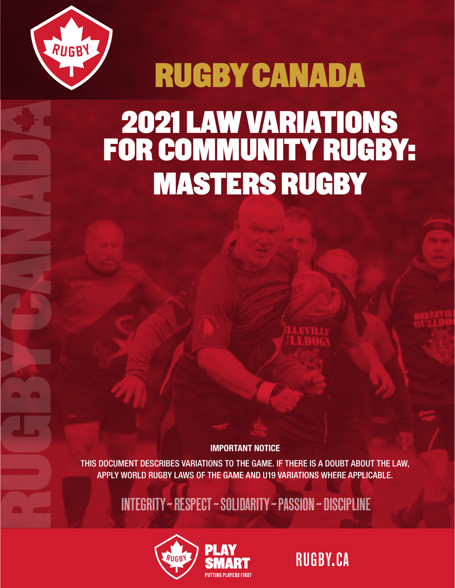

# RUGBY CANADA 2021 LAW VARIATIONS FOR COMMUNITY RUGBY: MASTERS RUGBY

IMPORTANT NOTICE

THIS DOCUMENT DESCRIBES VARIATIONS TO THE GAME. IF THERE IS A DOUBT ABOUT THE LAW, APPLY WORLD RUGBY LAWS OF THE GAME AND U19 VARIATIONS WHERE APPLICABLE.

INTEGRITY ~ RESPECT ~ SOLIDARITY ~ PASSION ~ DISCIPLINE



RUGBY.CA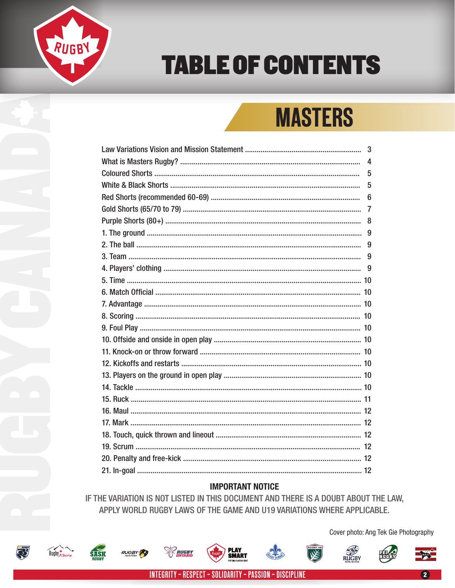

# **TABLE OF CONTENTS**

# **MASTERS**

| 3 |
|---|
| 4 |
| 5 |
| 5 |
| 6 |
| 7 |
| 8 |
|   |
| 9 |
| 9 |
| 9 |
|   |
|   |
|   |
|   |
|   |
|   |
|   |
|   |
|   |
|   |
|   |
|   |
|   |
|   |
|   |
|   |
|   |

#### **IMPORTANT NOTICE**

IF THE VARIATION IS NOT LISTED IN THIS DOCUMENT AND THERE IS A DOUBT ABOUT THE LAW, APPLY WORLD RUGBY LAWS OF THE GAME AND U19 VARIATIONS WHERE APPLICABLE.



**SASK** 

**RUGBY** 

Cover photo: Ang Tek Gie Photography

**RUGBY** 

₩

RUGBY

**PLAY<br>SMART**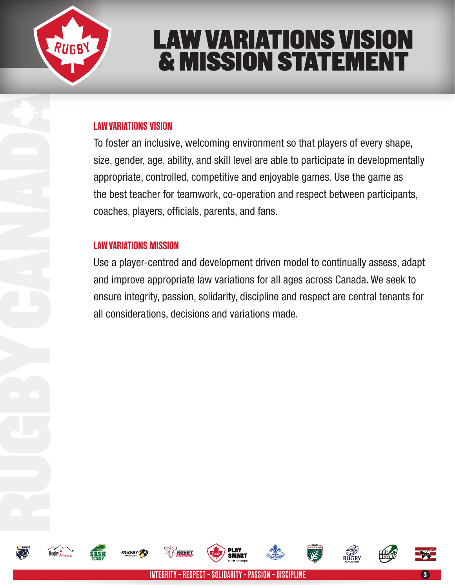

# LAW VARIATIONS VISION & MISSION STATEMENT

### LAW VARIATIONS VISION

To foster an inclusive, welcoming environment so that players of every shape, size, gender, age, ability, and skill level are able to participate in developmentally appropriate, controlled, competitive and enjoyable games. Use the game as the best teacher for teamwork, co-operation and respect between participants, coaches, players, officials, parents, and fans.

### LAW VARIATIONS MISSION

Use a player-centred and development driven model to continually assess, adapt and improve appropriate law variations for all ages across Canada. We seek to ensure integrity, passion, solidarity, discipline and respect are central tenants for all considerations, decisions and variations made.















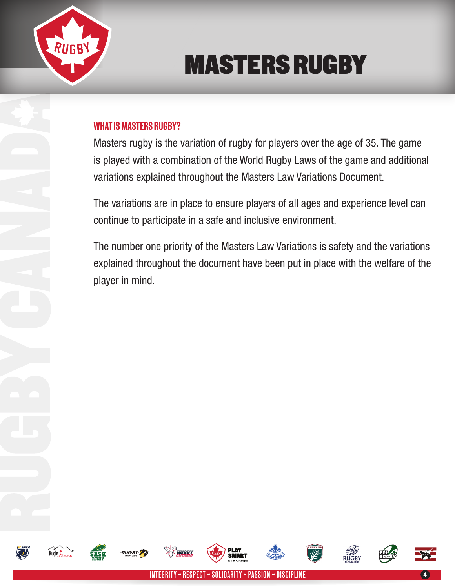

# MASTERS RUGBY

### WHAT IS MASTERS RUGBY?

Masters rugby is the variation of rugby for players over the age of 35. The game is played with a combination of the World Rugby Laws of the game and additional variations explained throughout the Masters Law Variations Document.

The variations are in place to ensure players of all ages and experience level can continue to participate in a safe and inclusive environment.

The number one priority of the Masters Law Variations is safety and the variations explained throughout the document have been put in place with the welfare of the player in mind.



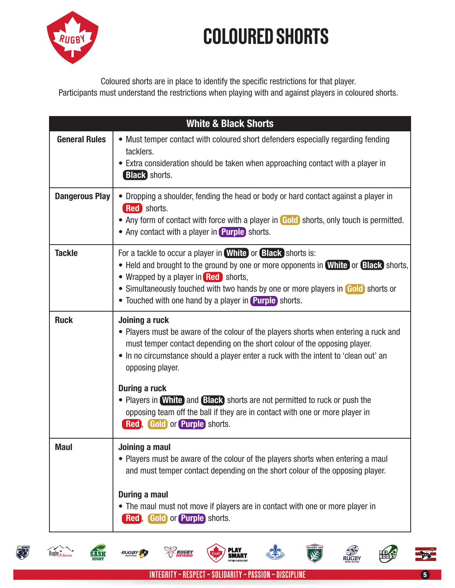

Coloured shorts are in place to identify the specific restrictions for that player. Participants must understand the restrictions when playing with and against players in coloured shorts.

| <b>White &amp; Black Shorts</b> |                                                                                                                                                                                                                                                                                                                                                                     |  |
|---------------------------------|---------------------------------------------------------------------------------------------------------------------------------------------------------------------------------------------------------------------------------------------------------------------------------------------------------------------------------------------------------------------|--|
| <b>General Rules</b>            | • Must temper contact with coloured short defenders especially regarding fending<br>tacklers.<br>• Extra consideration should be taken when approaching contact with a player in<br><b>Black</b> shorts.                                                                                                                                                            |  |
| <b>Dangerous Play</b>           | • Dropping a shoulder, fending the head or body or hard contact against a player in<br>Red shorts.<br>• Any form of contact with force with a player in Gold shorts, only touch is permitted.<br>• Any contact with a player in Purple shorts.                                                                                                                      |  |
| <b>Tackle</b>                   | For a tackle to occur a player in <b>White</b> or <b>Black</b> shorts is:<br>• Held and brought to the ground by one or more opponents in <b>White</b> or <b>Black</b> shorts,<br>• Wrapped by a player in Red shorts,<br>• Simultaneously touched with two hands by one or more players in Gold shorts or<br>• Touched with one hand by a player in Purple shorts. |  |
| <b>Ruck</b>                     | Joining a ruck<br>• Players must be aware of the colour of the players shorts when entering a ruck and<br>must temper contact depending on the short colour of the opposing player.<br>• In no circumstance should a player enter a ruck with the intent to 'clean out' an<br>opposing player.                                                                      |  |
|                                 | <b>During a ruck</b><br>• Players in White) and Black shorts are not permitted to ruck or push the<br>opposing team off the ball if they are in contact with one or more player in<br><b>Red</b> , Gold or Purple shorts.                                                                                                                                           |  |
| <b>Maul</b>                     | Joining a maul<br>• Players must be aware of the colour of the players shorts when entering a maul<br>and must temper contact depending on the short colour of the opposing player.                                                                                                                                                                                 |  |
|                                 | <b>During a maul</b><br>• The maul must not move if players are in contact with one or more player in<br>Red, Gold or Purple shorts.                                                                                                                                                                                                                                |  |



Rugby *Alberta* 

**SASK** 











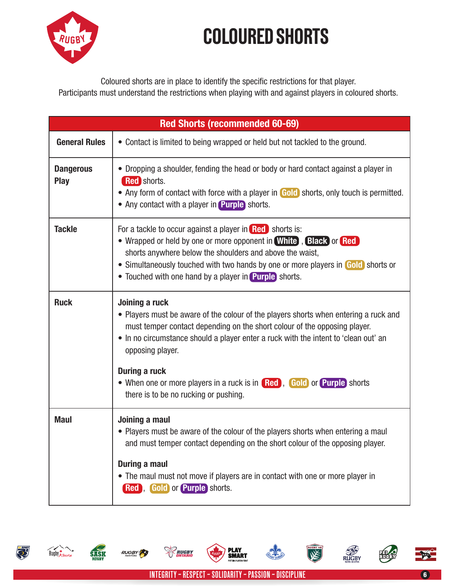

Coloured shorts are in place to identify the specific restrictions for that player. Participants must understand the restrictions when playing with and against players in coloured shorts.

| <b>Red Shorts (recommended 60-69)</b> |                                                                                                                                                                                                                                                                                                                                       |  |
|---------------------------------------|---------------------------------------------------------------------------------------------------------------------------------------------------------------------------------------------------------------------------------------------------------------------------------------------------------------------------------------|--|
| <b>General Rules</b>                  | • Contact is limited to being wrapped or held but not tackled to the ground.                                                                                                                                                                                                                                                          |  |
| <b>Dangerous</b><br><b>Play</b>       | • Dropping a shoulder, fending the head or body or hard contact against a player in<br><b>Red</b> shorts.<br>• Any form of contact with force with a player in Gold shorts, only touch is permitted.<br>• Any contact with a player in Purple shorts.                                                                                 |  |
| <b>Tackle</b>                         | For a tackle to occur against a player in Red shorts is:<br>• Wrapped or held by one or more opponent in White, Black or Red<br>shorts anywhere below the shoulders and above the waist,<br>• Simultaneously touched with two hands by one or more players in Gold shorts or<br>• Touched with one hand by a player in Purple shorts. |  |
| <b>Ruck</b>                           | Joining a ruck<br>• Players must be aware of the colour of the players shorts when entering a ruck and<br>must temper contact depending on the short colour of the opposing player.<br>• In no circumstance should a player enter a ruck with the intent to 'clean out' an<br>opposing player.                                        |  |
|                                       | <b>During a ruck</b><br>• When one or more players in a ruck is in Red, Gold or Purple shorts<br>there is to be no rucking or pushing.                                                                                                                                                                                                |  |
| <b>Maul</b>                           | Joining a maul<br>• Players must be aware of the colour of the players shorts when entering a maul<br>and must temper contact depending on the short colour of the opposing player.                                                                                                                                                   |  |
|                                       | <b>During a maul</b><br>• The maul must not move if players are in contact with one or more player in<br>Red , Gold or Purple shorts.                                                                                                                                                                                                 |  |





**RUGBY** 

**RUGBY** 

**PLAY<br>SMART** 

**RUGBY**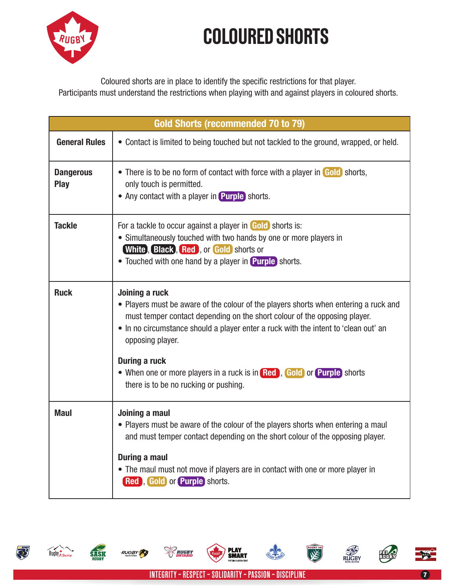

Coloured shorts are in place to identify the specific restrictions for that player. Participants must understand the restrictions when playing with and against players in coloured shorts.

| Gold Shorts (recommended 70 to 79) |                                                                                                                                                                                                                                                                                                |  |
|------------------------------------|------------------------------------------------------------------------------------------------------------------------------------------------------------------------------------------------------------------------------------------------------------------------------------------------|--|
| <b>General Rules</b>               | • Contact is limited to being touched but not tackled to the ground, wrapped, or held.                                                                                                                                                                                                         |  |
| <b>Dangerous</b><br>Play           | • There is to be no form of contact with force with a player in Gold shorts,<br>only touch is permitted.<br>• Any contact with a player in Purple shorts.                                                                                                                                      |  |
| <b>Tackle</b>                      | For a tackle to occur against a player in Gold shorts is:<br>• Simultaneously touched with two hands by one or more players in<br><b>White, Black, Red, or Gold shorts or</b><br>• Touched with one hand by a player in Purple shorts.                                                         |  |
| <b>Ruck</b>                        | Joining a ruck<br>• Players must be aware of the colour of the players shorts when entering a ruck and<br>must temper contact depending on the short colour of the opposing player.<br>• In no circumstance should a player enter a ruck with the intent to 'clean out' an<br>opposing player. |  |
|                                    | <b>During a ruck</b><br>• When one or more players in a ruck is in Red, Gold or Purple shorts<br>there is to be no rucking or pushing.                                                                                                                                                         |  |
| <b>Maul</b>                        | Joining a maul<br>• Players must be aware of the colour of the players shorts when entering a maul<br>and must temper contact depending on the short colour of the opposing player.<br>During a maul<br>• The maul must not move if players are in contact with one or more player in          |  |
|                                    | Red , Gold or Purple shorts.                                                                                                                                                                                                                                                                   |  |





**RUGBY** 

**SASK** 







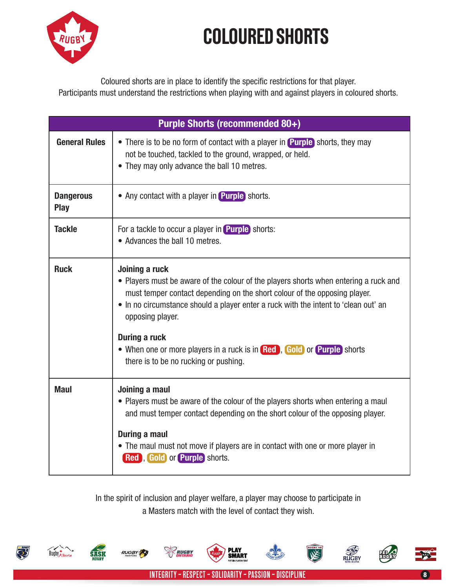

Coloured shorts are in place to identify the specific restrictions for that player. Participants must understand the restrictions when playing with and against players in coloured shorts.

| <b>Purple Shorts (recommended 80+)</b> |                                                                                                                                                                                                                                                                                                                                                                                                                                   |  |
|----------------------------------------|-----------------------------------------------------------------------------------------------------------------------------------------------------------------------------------------------------------------------------------------------------------------------------------------------------------------------------------------------------------------------------------------------------------------------------------|--|
| <b>General Rules</b>                   | • There is to be no form of contact with a player in <b>Purple</b> shorts, they may<br>not be touched, tackled to the ground, wrapped, or held.<br>• They may only advance the ball 10 metres.                                                                                                                                                                                                                                    |  |
| <b>Dangerous</b><br><b>Play</b>        | • Any contact with a player in Purple shorts.                                                                                                                                                                                                                                                                                                                                                                                     |  |
| <b>Tackle</b>                          | For a tackle to occur a player in Purple shorts:<br>• Advances the ball 10 metres.                                                                                                                                                                                                                                                                                                                                                |  |
| <b>Ruck</b>                            | Joining a ruck<br>• Players must be aware of the colour of the players shorts when entering a ruck and<br>must temper contact depending on the short colour of the opposing player.<br>• In no circumstance should a player enter a ruck with the intent to 'clean out' an<br>opposing player.<br>During a ruck<br>• When one or more players in a ruck is in Red, Gold or Purple shorts<br>there is to be no rucking or pushing. |  |
| <b>Maul</b>                            | Joining a maul<br>• Players must be aware of the colour of the players shorts when entering a maul<br>and must temper contact depending on the short colour of the opposing player.<br><b>During a maul</b><br>• The maul must not move if players are in contact with one or more player in<br>Red , Gold or Purple shorts.                                                                                                      |  |

In the spirit of inclusion and player welfare, a player may choose to participate in a Masters match with the level of contact they wish.





SASK















INTEGRITY ~ RESPECT ~ SOLIDARITY ~ PASSION ~ DISCIPLINE <sup>8</sup>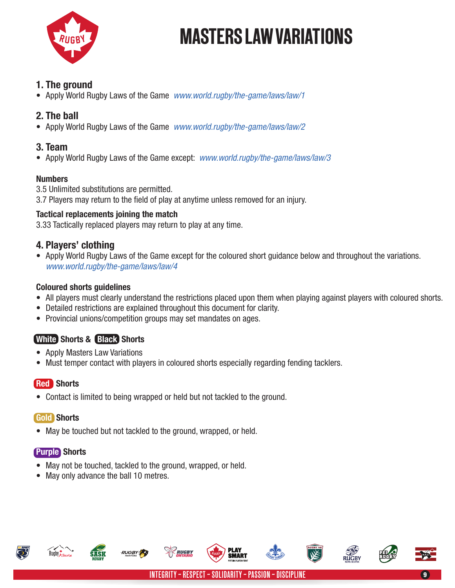

### 1. The ground

• Apply World Rugby Laws of the Game *www.world.rugby/the-game/laws/law/1*

# 2. The ball

• Apply World Rugby Laws of the Game *www.world.rugby/the-game/laws/law/2*

#### 3. Team

• Apply World Rugby Laws of the Game except: *www.world.rugby/the-game/laws/law/3*

#### Numbers

3.5 Unlimited substitutions are permitted.

3.7 Players may return to the field of play at anytime unless removed for an injury.

#### Tactical replacements joining the match

3.33 Tactically replaced players may return to play at any time.

### 4. Players' clothing

• Apply World Rugby Laws of the Game except for the coloured short quidance below and throughout the variations. *www.world.rugby/the-game/laws/law/4*

#### Coloured shorts guidelines

- All players must clearly understand the restrictions placed upon them when playing against players with coloured shorts.
- Detailed restrictions are explained throughout this document for clarity.
- Provincial unions/competition groups may set mandates on ages.

# White Shorts & Black Shorts

- Apply Masters Law Variations
- Must temper contact with players in coloured shorts especially regarding fending tacklers.

### Red Shorts

• Contact is limited to being wrapped or held but not tackled to the ground.

### Gold Shorts

• May be touched but not tackled to the ground, wrapped, or held.

### Purple Shorts

Rugby & there

- May not be touched, tackled to the ground, wrapped, or held.
- May only advance the ball 10 metres.





SMART







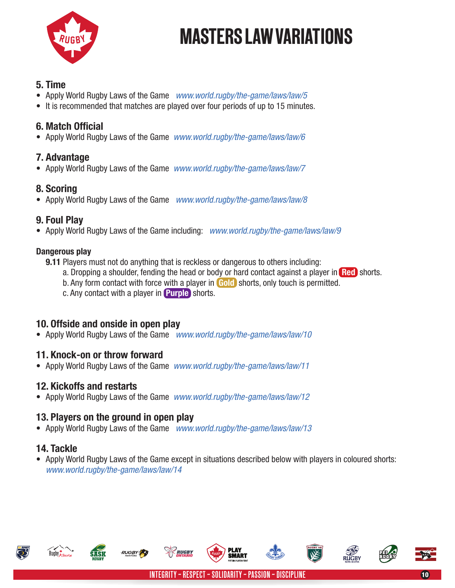

### 5. Time

- • Apply World Rugby Laws of the Game *www.world.rugby/the-game/laws/law/5*
- It is recommended that matches are played over four periods of up to 15 minutes.

# 6. Match Official

• Apply World Rugby Laws of the Game *www.world.rugby/the-game/laws/law/6*

### 7. Advantage

• Apply World Rugby Laws of the Game *www.world.rugby/the-game/laws/law/7*

### 8. Scoring

• Apply World Rugby Laws of the Game *www.world.rugby/the-game/laws/law/8*

### 9. Foul Play

• Apply World Rugby Laws of the Game including: *www.world.rugby/the-game/laws/law/9*

#### Dangerous play

- 9.11 Players must not do anything that is reckless or dangerous to others including:
	- a. Dropping a shoulder, fending the head or body or hard contact against a player in Red shorts.
	- b. Any form contact with force with a player in Gold shorts, only touch is permitted.
	- c. Any contact with a player in Purple shorts.

# 10. Offside and onside in open play

• Apply World Rugby Laws of the Game *www.world.rugby/the-game/laws/law/10*

### 11. Knock-on or throw forward

• Apply World Rugby Laws of the Game *www.world.rugby/the-game/laws/law/11*

# 12. Kickoffs and restarts

• Apply World Rugby Laws of the Game *www.world.rugby/the-game/laws/law/12*

# 13. Players on the ground in open play

• Apply World Rugby Laws of the Game *www.world.rugby/the-game/laws/law/13*

# 14. Tackle

• Apply World Rugby Laws of the Game except in situations described below with players in coloured shorts: *www.world.rugby/the-game/laws/law/14* 











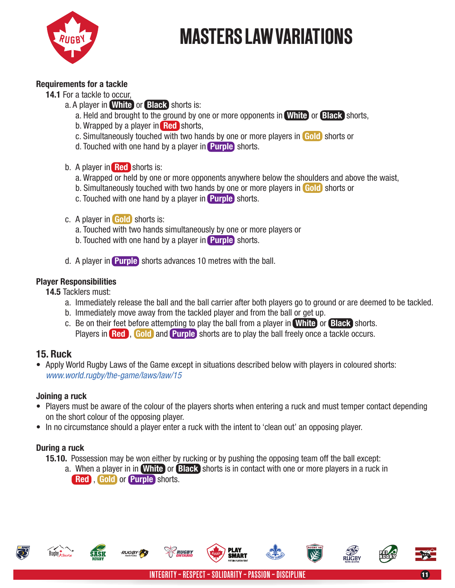

#### Requirements for a tackle

- 14.1 For a tackle to occur,
	- a. A player in **White** or **Black** shorts is:
		- a. Held and brought to the ground by one or more opponents in White or Black shorts,
		- b. Wrapped by a player in **Red** shorts,
		- c. Simultaneously touched with two hands by one or more players in Gold shorts or
		- d. Touched with one hand by a player in **Purple** shorts.
	- b. A player in **Red** shorts is:
		- a. Wrapped or held by one or more opponents anywhere below the shoulders and above the waist,
		- b. Simultaneously touched with two hands by one or more players in Gold shorts or
		- c. Touched with one hand by a player in Purple shorts.
	- c. A player in Gold shorts is:
		- a. Touched with two hands simultaneously by one or more players or
		- b. Touched with one hand by a player in **Purple** shorts.
	- d. A player in Purple shorts advances 10 metres with the ball.

#### Player Responsibilities

- 14.5 Tacklers must:
	- a. Immediately release the ball and the ball carrier after both players go to ground or are deemed to be tackled.
	- b. Immediately move away from the tackled player and from the ball or get up.
	- c. Be on their feet before attempting to play the ball from a player in White or Black shorts. Players in Red., Gold and Purple shorts are to play the ball freely once a tackle occurs.

### 15. Ruck

• Apply World Rugby Laws of the Game except in situations described below with players in coloured shorts: *www.world.rugby/the-game/laws/law/15*

#### Joining a ruck

- Players must be aware of the colour of the players shorts when entering a ruck and must temper contact depending on the short colour of the opposing player.
- In no circumstance should a player enter a ruck with the intent to 'clean out' an opposing player.

#### During a ruck

- 15.10. Possession may be won either by rucking or by pushing the opposing team off the ball except:
	- a. When a player in in White or Black shorts is in contact with one or more players in a ruck in Red , Gold or Purple shorts.





**SMART** 

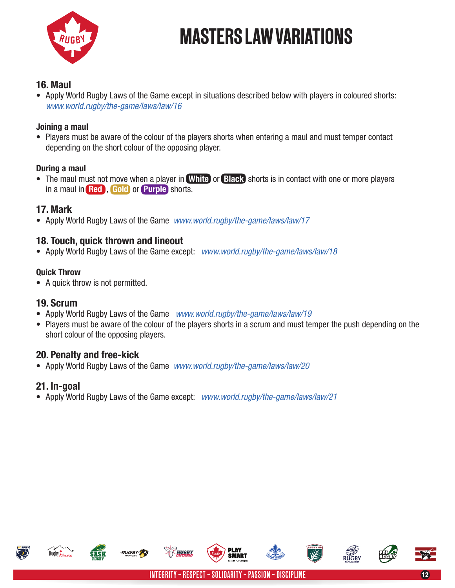

#### 16. Maul

• Apply World Rugby Laws of the Game except in situations described below with players in coloured shorts: *www.world.rugby/the-game/laws/law/16*

#### Joining a maul

• Players must be aware of the colour of the players shorts when entering a maul and must temper contact depending on the short colour of the opposing player.

#### During a maul

• The maul must not move when a player in White or Black shorts is in contact with one or more players in a maul in Red , Gold or Purple shorts.

#### 17. Mark

• Apply World Rugby Laws of the Game *www.world.rugby/the-game/laws/law/17*

### 18. Touch, quick thrown and lineout

• Apply World Rugby Laws of the Game except: *www.world.rugby/the-game/laws/law/18*

#### Quick Throw

• A quick throw is not permitted.

### 19. Scrum

- • Apply World Rugby Laws of the Game *www.world.rugby/the-game/laws/law/19*
- Players must be aware of the colour of the players shorts in a scrum and must temper the push depending on the short colour of the opposing players.

#### 20. Penalty and free-kick

• Apply World Rugby Laws of the Game *www.world.rugby/the-game/laws/law/20*

### 21. In-goal

• Apply World Rugby Laws of the Game except: *www.world.rugby/the-game/laws/law/21*



Rugby & there



**SMART**